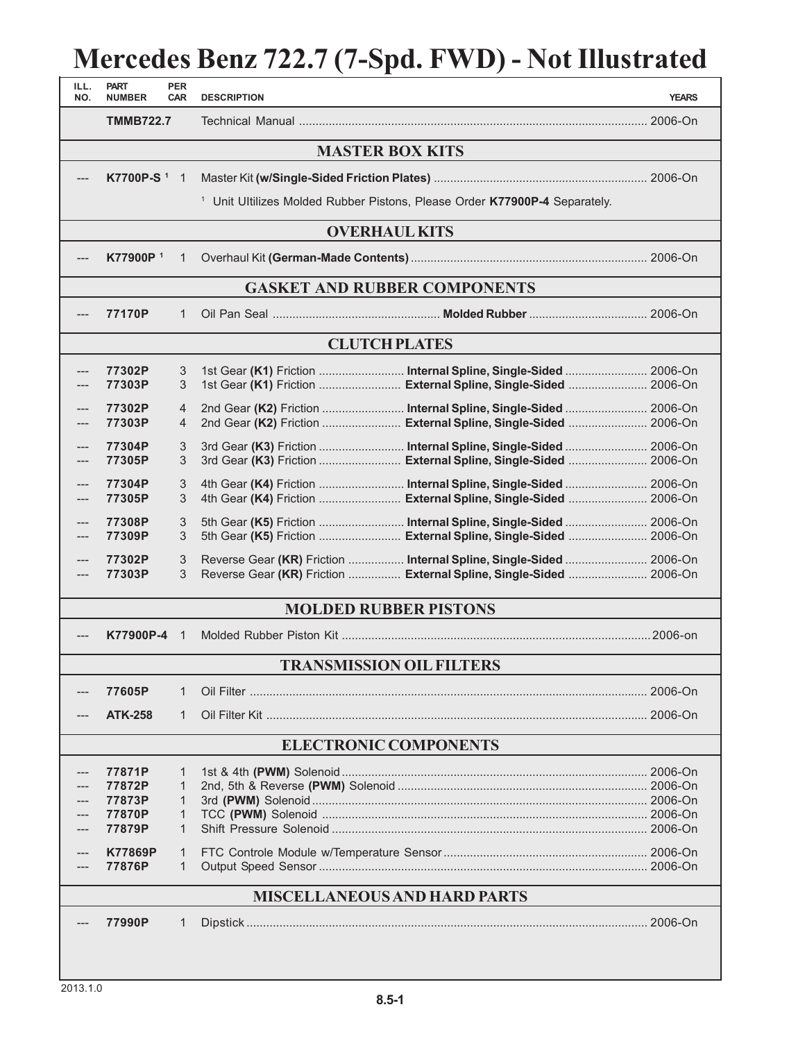## **Mercedes Benz 722.7 (7-Spd. FWD) - Not Illustrated**

| ILL.<br>NO.                         | <b>PART</b><br><b>NUMBER</b> | <b>PER</b><br><b>CAR</b>         | <b>DESCRIPTION</b>              |                                                                                                                                          | <b>YEARS</b> |  |  |  |  |  |
|-------------------------------------|------------------------------|----------------------------------|---------------------------------|------------------------------------------------------------------------------------------------------------------------------------------|--------------|--|--|--|--|--|
|                                     | <b>TMMB722.7</b>             |                                  |                                 |                                                                                                                                          |              |  |  |  |  |  |
| <b>MASTER BOX KITS</b>              |                              |                                  |                                 |                                                                                                                                          |              |  |  |  |  |  |
|                                     | K7700P-S <sup>1</sup> 1      |                                  |                                 |                                                                                                                                          |              |  |  |  |  |  |
|                                     |                              |                                  |                                 | <sup>1</sup> Unit Ultilizes Molded Rubber Pistons, Please Order K77900P-4 Separately.                                                    |              |  |  |  |  |  |
| <b>OVERHAUL KITS</b>                |                              |                                  |                                 |                                                                                                                                          |              |  |  |  |  |  |
|                                     | K77900P <sup>1</sup>         | 1                                |                                 |                                                                                                                                          |              |  |  |  |  |  |
| <b>GASKET AND RUBBER COMPONENTS</b> |                              |                                  |                                 |                                                                                                                                          |              |  |  |  |  |  |
| ---                                 | 77170P                       | $\mathbf{1}$                     |                                 |                                                                                                                                          |              |  |  |  |  |  |
| <b>CLUTCH PLATES</b>                |                              |                                  |                                 |                                                                                                                                          |              |  |  |  |  |  |
|                                     | 77302P                       | 3                                |                                 | 1st Gear (K1) Friction  Internal Spline, Single-Sided  2006-On                                                                           |              |  |  |  |  |  |
|                                     | 77303P                       | 3                                |                                 | 1st Gear (K1) Friction  External Spline, Single-Sided  2006-On                                                                           |              |  |  |  |  |  |
| ---<br>---                          | 77302P<br>77303P             | $\overline{4}$<br>$\overline{4}$ |                                 | 2nd Gear (K2) Friction  Internal Spline, Single-Sided  2006-On<br>2nd Gear (K2) Friction  External Spline, Single-Sided  2006-On         |              |  |  |  |  |  |
| ---                                 | 77304P                       | 3                                |                                 |                                                                                                                                          |              |  |  |  |  |  |
|                                     | 77305P                       | 3                                |                                 | 3rd Gear (K3) Friction  External Spline, Single-Sided  2006-On                                                                           |              |  |  |  |  |  |
| ---                                 | 77304P<br>77305P             | 3<br>3                           |                                 | 4th Gear (K4) Friction  Internal Spline, Single-Sided  2006-On<br>4th Gear (K4) Friction  External Spline, Single-Sided  2006-On         |              |  |  |  |  |  |
| $---$                               | 77308P                       | 3                                |                                 | 5th Gear (K5) Friction  Internal Spline, Single-Sided  2006-On                                                                           |              |  |  |  |  |  |
| ---                                 | 77309P                       | 3                                |                                 | 5th Gear (K5) Friction  External Spline, Single-Sided  2006-On                                                                           |              |  |  |  |  |  |
|                                     | 77302P<br>77303P             | 3<br>3                           |                                 | Reverse Gear (KR) Friction  Internal Spline, Single-Sided  2006-On<br>Reverse Gear (KR) Friction  External Spline, Single-Sided  2006-On |              |  |  |  |  |  |
| <b>MOLDED RUBBER PISTONS</b>        |                              |                                  |                                 |                                                                                                                                          |              |  |  |  |  |  |
|                                     | K77900P-4                    | $\overline{1}$                   |                                 |                                                                                                                                          |              |  |  |  |  |  |
|                                     |                              |                                  | <b>TRANSMISSION OIL FILTERS</b> |                                                                                                                                          |              |  |  |  |  |  |
|                                     | 77605P                       | 1                                |                                 |                                                                                                                                          |              |  |  |  |  |  |
|                                     | <b>ATK-258</b>               | 1                                |                                 |                                                                                                                                          |              |  |  |  |  |  |
| <b>ELECTRONIC COMPONENTS</b>        |                              |                                  |                                 |                                                                                                                                          |              |  |  |  |  |  |
|                                     | 77871P                       | 1                                |                                 |                                                                                                                                          |              |  |  |  |  |  |
|                                     | 77872P                       | 1                                |                                 |                                                                                                                                          |              |  |  |  |  |  |
|                                     | 77873P<br>77870P             | 1<br>1                           |                                 |                                                                                                                                          |              |  |  |  |  |  |
|                                     | 77879P                       | 1                                |                                 |                                                                                                                                          |              |  |  |  |  |  |
|                                     | K77869P                      | 1                                |                                 |                                                                                                                                          |              |  |  |  |  |  |
|                                     | 77876P                       | 1                                |                                 |                                                                                                                                          |              |  |  |  |  |  |
| <b>MISCELLANEOUS AND HARD PARTS</b> |                              |                                  |                                 |                                                                                                                                          |              |  |  |  |  |  |
|                                     | 77990P                       | 1                                |                                 |                                                                                                                                          |              |  |  |  |  |  |
|                                     |                              |                                  |                                 |                                                                                                                                          |              |  |  |  |  |  |
|                                     |                              |                                  |                                 |                                                                                                                                          |              |  |  |  |  |  |